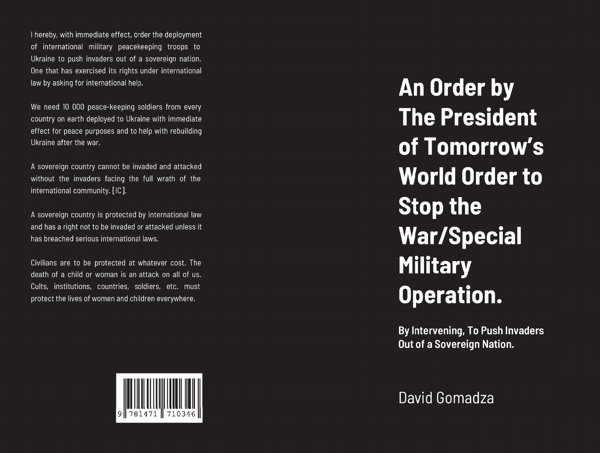I hereby, with immediate effect, order the deployment of international military peacekeeping troops to Ukraine to push invaders out of a sovereign nation. One that has exercised its rights under international law by asking for international help.

We need 10 000 peace-keeping soldiers from every country on earth deployed to Ukraine with immediate effect for peace purposes and to help with rebuilding Ukraine after the war.

A sovereign country cannot be invaded and attacked without the invaders facing the full wrath of the international community. [IC].

A sovereign country is protected by international law and has a right not to be invaded or attacked unless it has breached serious international laws.

Civilians are to be protected at whatever cost. The death of a child or woman is an attack on all of us. Cults, institutions, countries, soldiers, etc. must protect the lives of women and children everywhere.



**An Order by The President** of Tomorrow's **World Order to Stop the** War/Special **Military Operation.** 

By Intervening, To Push Invaders **Out of a Sovereign Nation.** 

David Gomadza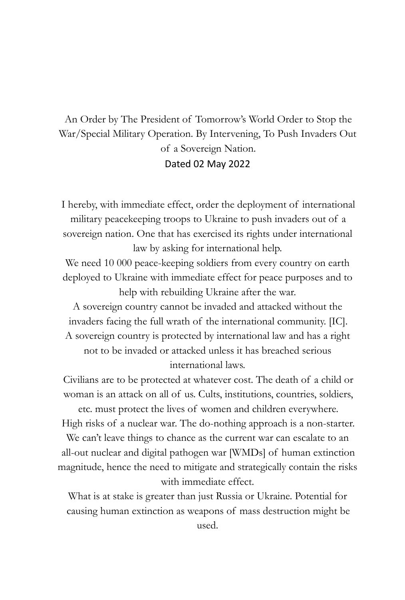# An Order by The President of Tomorrow's World Order to Stop the War/Special Military Operation. By Intervening, To Push Invaders Out of a Sovereign Nation. Dated 02 May 2022

I hereby, with immediate effect, order the deployment of international military peacekeeping troops to Ukraine to push invaders out of a sovereign nation. One that has exercised its rights under international law by asking for international help.

We need 10 000 peace-keeping soldiers from every country on earth deployed to Ukraine with immediate effect for peace purposes and to help with rebuilding Ukraine after the war.

A sovereign country cannot be invaded and attacked without the invaders facing the full wrath of the international community. [IC]. A sovereign country is protected by international law and has a right not to be invaded or attacked unless it has breached serious international laws.

Civilians are to be protected at whatever cost. The death of a child or woman is an attack on all of us. Cults, institutions, countries, soldiers,

etc. must protect the lives of women and children everywhere. High risks of a nuclear war. The do-nothing approach is a non-starter. We can't leave things to chance as the current war can escalate to an all-out nuclear and digital pathogen war [WMDs] of human extinction magnitude, hence the need to mitigate and strategically contain the risks with immediate effect.

What is at stake is greater than just Russia or Ukraine. Potential for causing human extinction as weapons of mass destruction might be used.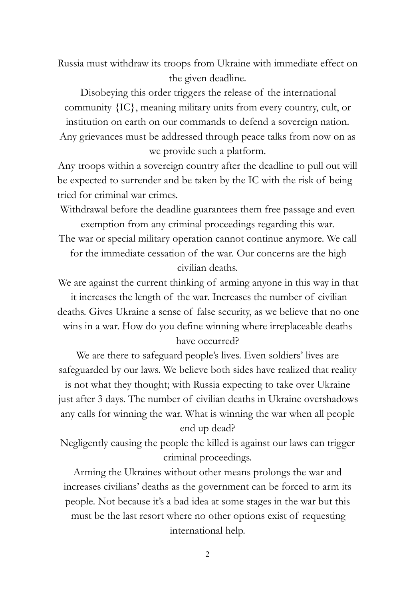Russia must withdraw its troops from Ukraine with immediate effect on the given deadline.

Disobeying this order triggers the release of the international community {IC}, meaning military units from every country, cult, or institution on earth on our commands to defend a sovereign nation. Any grievances must be addressed through peace talks from now on as we provide such a platform.

Any troops within a sovereign country after the deadline to pull out will be expected to surrender and be taken by the IC with the risk of being tried for criminal war crimes.

Withdrawal before the deadline guarantees them free passage and even exemption from any criminal proceedings regarding this war.

The war or special military operation cannot continue anymore. We call for the immediate cessation of the war. Our concerns are the high civilian deaths.

We are against the current thinking of arming anyone in this way in that it increases the length of the war. Increases the number of civilian deaths. Gives Ukraine a sense of false security, as we believe that no one wins in a war. How do you define winning where irreplaceable deaths have occurred?

We are there to safeguard people's lives. Even soldiers' lives are safeguarded by our laws. We believe both sides have realized that reality is not what they thought; with Russia expecting to take over Ukraine just after 3 days. The number of civilian deaths in Ukraine overshadows any calls for winning the war. What is winning the war when all people end up dead?

Negligently causing the people the killed is against our laws can trigger criminal proceedings.

Arming the Ukraines without other means prolongs the war and increases civilians' deaths as the government can be forced to arm its people. Not because it's a bad idea at some stages in the war but this must be the last resort where no other options exist of requesting international help.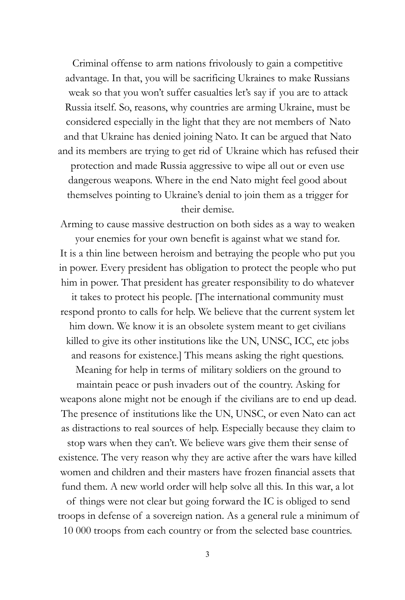Criminal offense to arm nations frivolously to gain a competitive advantage. In that, you will be sacrificing Ukraines to make Russians weak so that you won't suffer casualties let's say if you are to attack Russia itself. So, reasons, why countries are arming Ukraine, must be considered especially in the light that they are not members of Nato and that Ukraine has denied joining Nato. It can be argued that Nato and its members are trying to get rid of Ukraine which has refused their

protection and made Russia aggressive to wipe all out or even use dangerous weapons. Where in the end Nato might feel good about themselves pointing to Ukraine's denial to join them as a trigger for their demise.

Arming to cause massive destruction on both sides as a way to weaken your enemies for your own benefit is against what we stand for. It is a thin line between heroism and betraying the people who put you in power. Every president has obligation to protect the people who put him in power. That president has greater responsibility to do whatever it takes to protect his people. [The international community must respond pronto to calls for help. We believe that the current system let him down. We know it is an obsolete system meant to get civilians killed to give its other institutions like the UN, UNSC, ICC, etc jobs and reasons for existence.] This means asking the right questions.

Meaning for help in terms of military soldiers on the ground to maintain peace or push invaders out of the country. Asking for weapons alone might not be enough if the civilians are to end up dead. The presence of institutions like the UN, UNSC, or even Nato can act as distractions to real sources of help. Especially because they claim to stop wars when they can't. We believe wars give them their sense of existence. The very reason why they are active after the wars have killed women and children and their masters have frozen financial assets that fund them. A new world order will help solve all this. In this war, a lot

of things were not clear but going forward the IC is obliged to send troops in defense of a sovereign nation. As a general rule a minimum of 10 000 troops from each country or from the selected base countries.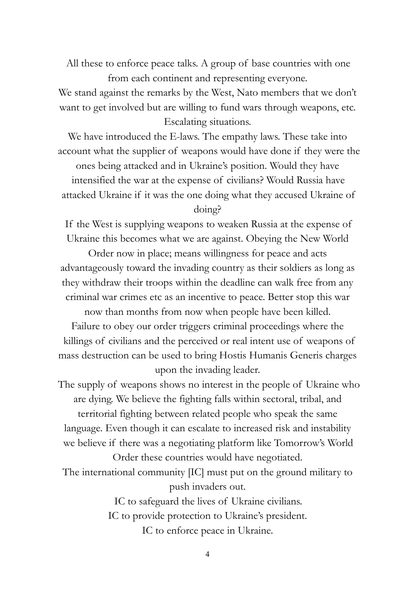All these to enforce peace talks. A group of base countries with one from each continent and representing everyone.

We stand against the remarks by the West, Nato members that we don't want to get involved but are willing to fund wars through weapons, etc. Escalating situations.

We have introduced the E-laws. The empathy laws. These take into account what the supplier of weapons would have done if they were the ones being attacked and in Ukraine's position. Would they have

intensified the war at the expense of civilians? Would Russia have attacked Ukraine if it was the one doing what they accused Ukraine of

### doing?

If the West is supplying weapons to weaken Russia at the expense of Ukraine this becomes what we are against. Obeying the New World

Order now in place; means willingness for peace and acts advantageously toward the invading country as their soldiers as long as they withdraw their troops within the deadline can walk free from any criminal war crimes etc as an incentive to peace. Better stop this war

now than months from now when people have been killed. Failure to obey our order triggers criminal proceedings where the killings of civilians and the perceived or real intent use of weapons of mass destruction can be used to bring Hostis Humanis Generis charges upon the invading leader.

The supply of weapons shows no interest in the people of Ukraine who are dying. We believe the fighting falls within sectoral, tribal, and territorial fighting between related people who speak the same language. Even though it can escalate to increased risk and instability we believe if there was a negotiating platform like Tomorrow's World

Order these countries would have negotiated. The international community [IC] must put on the ground military to push invaders out.

> IC to safeguard the lives of Ukraine civilians. IC to provide protection to Ukraine's president. IC to enforce peace in Ukraine.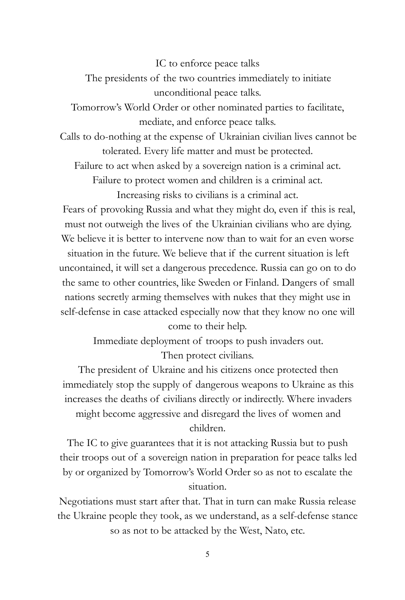IC to enforce peace talks

The presidents of the two countries immediately to initiate unconditional peace talks.

Tomorrow's World Order or other nominated parties to facilitate, mediate, and enforce peace talks.

Calls to do-nothing at the expense of Ukrainian civilian lives cannot be tolerated. Every life matter and must be protected.

Failure to act when asked by a sovereign nation is a criminal act.

Failure to protect women and children is a criminal act.

Increasing risks to civilians is a criminal act.

Fears of provoking Russia and what they might do, even if this is real, must not outweigh the lives of the Ukrainian civilians who are dying. We believe it is better to intervene now than to wait for an even worse situation in the future. We believe that if the current situation is left uncontained, it will set a dangerous precedence. Russia can go on to do the same to other countries, like Sweden or Finland. Dangers of small nations secretly arming themselves with nukes that they might use in self-defense in case attacked especially now that they know no one will come to their help.

> Immediate deployment of troops to push invaders out. Then protect civilians.

The president of Ukraine and his citizens once protected then immediately stop the supply of dangerous weapons to Ukraine as this increases the deaths of civilians directly or indirectly. Where invaders might become aggressive and disregard the lives of women and

children.

The IC to give guarantees that it is not attacking Russia but to push their troops out of a sovereign nation in preparation for peace talks led by or organized by Tomorrow's World Order so as not to escalate the situation.

Negotiations must start after that. That in turn can make Russia release the Ukraine people they took, as we understand, as a self-defense stance so as not to be attacked by the West, Nato, etc.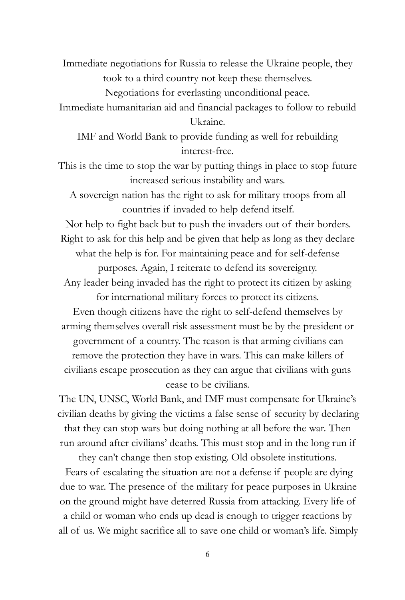Immediate negotiations for Russia to release the Ukraine people, they took to a third country not keep these themselves.

Negotiations for everlasting unconditional peace.

Immediate humanitarian aid and financial packages to follow to rebuild Ukraine.

IMF and World Bank to provide funding as well for rebuilding interest-free.

This is the time to stop the war by putting things in place to stop future increased serious instability and wars.

A sovereign nation has the right to ask for military troops from all countries if invaded to help defend itself.

Not help to fight back but to push the invaders out of their borders. Right to ask for this help and be given that help as long as they declare what the help is for. For maintaining peace and for self-defense purposes. Again, I reiterate to defend its sovereignty.

Any leader being invaded has the right to protect its citizen by asking for international military forces to protect its citizens.

Even though citizens have the right to self-defend themselves by arming themselves overall risk assessment must be by the president or government of a country. The reason is that arming civilians can remove the protection they have in wars. This can make killers of civilians escape prosecution as they can argue that civilians with guns cease to be civilians.

The UN, UNSC, World Bank, and IMF must compensate for Ukraine's civilian deaths by giving the victims a false sense of security by declaring that they can stop wars but doing nothing at all before the war. Then run around after civilians' deaths. This must stop and in the long run if

they can't change then stop existing. Old obsolete institutions. Fears of escalating the situation are not a defense if people are dying due to war. The presence of the military for peace purposes in Ukraine on the ground might have deterred Russia from attacking. Every life of a child or woman who ends up dead is enough to trigger reactions by all of us. We might sacrifice all to save one child or woman's life. Simply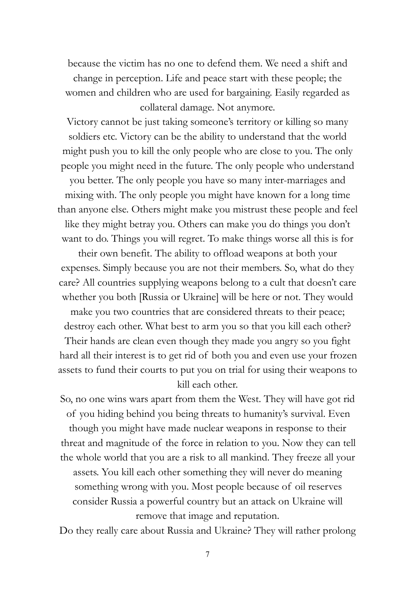because the victim has no one to defend them. We need a shift and change in perception. Life and peace start with these people; the women and children who are used for bargaining. Easily regarded as collateral damage. Not anymore.

Victory cannot be just taking someone's territory or killing so many soldiers etc. Victory can be the ability to understand that the world might push you to kill the only people who are close to you. The only people you might need in the future. The only people who understand you better. The only people you have so many inter-marriages and mixing with. The only people you might have known for a long time than anyone else. Others might make you mistrust these people and feel like they might betray you. Others can make you do things you don't want to do. Things you will regret. To make things worse all this is for

their own benefit. The ability to offload weapons at both your expenses. Simply because you are not their members. So, what do they care? All countries supplying weapons belong to a cult that doesn't care whether you both [Russia or Ukraine] will be here or not. They would

make you two countries that are considered threats to their peace; destroy each other. What best to arm you so that you kill each other? Their hands are clean even though they made you angry so you fight hard all their interest is to get rid of both you and even use your frozen assets to fund their courts to put you on trial for using their weapons to kill each other.

So, no one wins wars apart from them the West. They will have got rid of you hiding behind you being threats to humanity's survival. Even though you might have made nuclear weapons in response to their threat and magnitude of the force in relation to you. Now they can tell the whole world that you are a risk to all mankind. They freeze all your assets. You kill each other something they will never do meaning something wrong with you. Most people because of oil reserves consider Russia a powerful country but an attack on Ukraine will remove that image and reputation.

Do they really care about Russia and Ukraine? They will rather prolong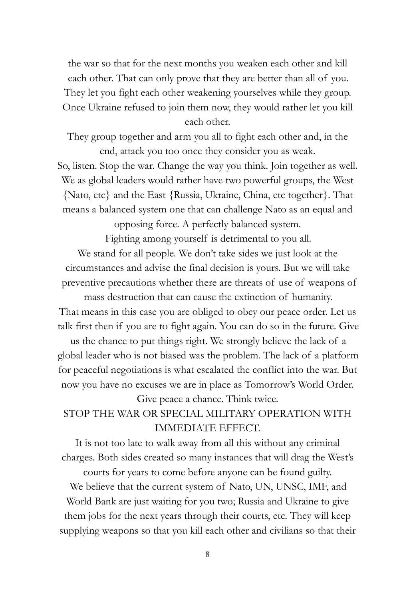the war so that for the next months you weaken each other and kill each other. That can only prove that they are better than all of you. They let you fight each other weakening yourselves while they group. Once Ukraine refused to join them now, they would rather let you kill each other.

They group together and arm you all to fight each other and, in the end, attack you too once they consider you as weak.

So, listen. Stop the war. Change the way you think. Join together as well. We as global leaders would rather have two powerful groups, the West {Nato, etc} and the East {Russia, Ukraine, China, etc together}. That means a balanced system one that can challenge Nato as an equal and

opposing force. A perfectly balanced system.

Fighting among yourself is detrimental to you all.

We stand for all people. We don't take sides we just look at the circumstances and advise the final decision is yours. But we will take preventive precautions whether there are threats of use of weapons of

mass destruction that can cause the extinction of humanity. That means in this case you are obliged to obey our peace order. Let us talk first then if you are to fight again. You can do so in the future. Give

us the chance to put things right. We strongly believe the lack of a global leader who is not biased was the problem. The lack of a platform for peaceful negotiations is what escalated the conflict into the war. But now you have no excuses we are in place as Tomorrow's World Order.

Give peace a chance. Think twice.

# STOP THE WAR OR SPECIAL MILITARY OPERATION WITH IMMEDIATE EFFECT.

It is not too late to walk away from all this without any criminal charges. Both sides created so many instances that will drag the West's

courts for years to come before anyone can be found guilty. We believe that the current system of Nato, UN, UNSC, IMF, and World Bank are just waiting for you two; Russia and Ukraine to give them jobs for the next years through their courts, etc. They will keep supplying weapons so that you kill each other and civilians so that their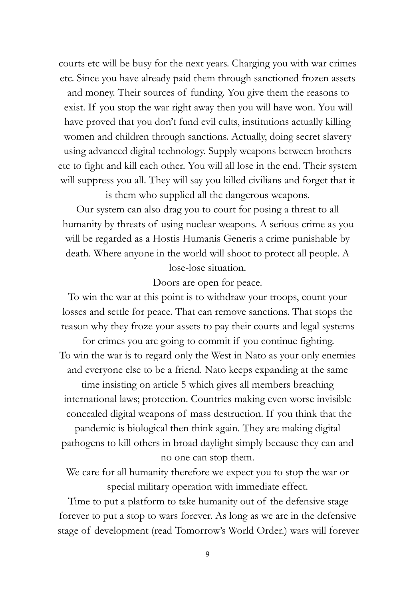courts etc will be busy for the next years. Charging you with war crimes etc. Since you have already paid them through sanctioned frozen assets and money. Their sources of funding. You give them the reasons to exist. If you stop the war right away then you will have won. You will have proved that you don't fund evil cults, institutions actually killing women and children through sanctions. Actually, doing secret slavery using advanced digital technology. Supply weapons between brothers etc to fight and kill each other. You will all lose in the end. Their system will suppress you all. They will say you killed civilians and forget that it

is them who supplied all the dangerous weapons.

Our system can also drag you to court for posing a threat to all humanity by threats of using nuclear weapons. A serious crime as you will be regarded as a Hostis Humanis Generis a crime punishable by death. Where anyone in the world will shoot to protect all people. A lose-lose situation.

Doors are open for peace.

To win the war at this point is to withdraw your troops, count your losses and settle for peace. That can remove sanctions. That stops the reason why they froze your assets to pay their courts and legal systems

for crimes you are going to commit if you continue fighting. To win the war is to regard only the West in Nato as your only enemies and everyone else to be a friend. Nato keeps expanding at the same

time insisting on article 5 which gives all members breaching international laws; protection. Countries making even worse invisible concealed digital weapons of mass destruction. If you think that the pandemic is biological then think again. They are making digital pathogens to kill others in broad daylight simply because they can and no one can stop them.

We care for all humanity therefore we expect you to stop the war or special military operation with immediate effect.

Time to put a platform to take humanity out of the defensive stage forever to put a stop to wars forever. As long as we are in the defensive stage of development (read Tomorrow's World Order.) wars will forever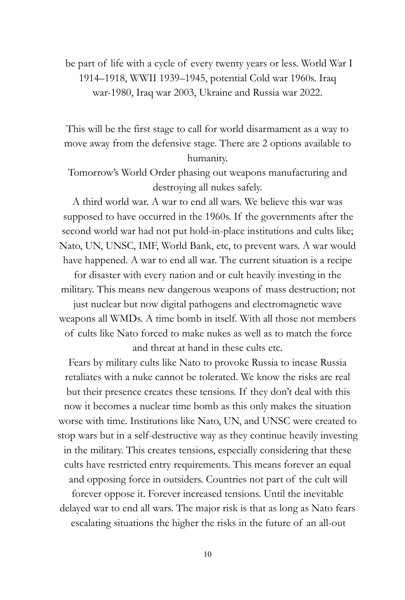be part of life with a cycle of every twenty years or less. World War I 1914–1918, WWII 1939–1945, potential Cold war 1960s. Iraq war-1980, Iraq war 2003, Ukraine and Russia war 2022.

This will be the first stage to call for world disarmament as a way to move away from the defensive stage. There are 2 options available to humanity.

Tomorrow's World Order phasing out weapons manufacturing and destroying all nukes safely.

A third world war. A war to end all wars. We believe this war was supposed to have occurred in the 1960s. If the governments after the second world war had not put hold-in-place institutions and cults like; Nato, UN, UNSC, IMF, World Bank, etc, to prevent wars. A war would have happened. A war to end all war. The current situation is a recipe

for disaster with every nation and or cult heavily investing in the military. This means new dangerous weapons of mass destruction; not

just nuclear but now digital pathogens and electromagnetic wave weapons all WMDs. A time bomb in itself. With all those not members of cults like Nato forced to make nukes as well as to match the force and threat at hand in these cults etc.

Fears by military cults like Nato to provoke Russia to incase Russia retaliates with a nuke cannot be tolerated. We know the risks are real but their presence creates these tensions. If they don't deal with this now it becomes a nuclear time bomb as this only makes the situation worse with time. Institutions like Nato, UN, and UNSC were created to stop wars but in a self-destructive way as they continue heavily investing in the military. This creates tensions, especially considering that these cults have restricted entry requirements. This means forever an equal and opposing force in outsiders. Countries not part of the cult will

forever oppose it. Forever increased tensions. Until the inevitable delayed war to end all wars. The major risk is that as long as Nato fears escalating situations the higher the risks in the future of an all-out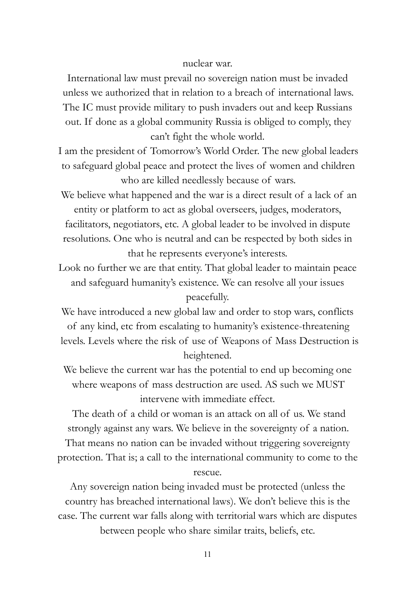## nuclear war.

International law must prevail no sovereign nation must be invaded unless we authorized that in relation to a breach of international laws. The IC must provide military to push invaders out and keep Russians out. If done as a global community Russia is obliged to comply, they can't fight the whole world.

I am the president of Tomorrow's World Order. The new global leaders to safeguard global peace and protect the lives of women and children who are killed needlessly because of wars.

We believe what happened and the war is a direct result of a lack of an entity or platform to act as global overseers, judges, moderators, facilitators, negotiators, etc. A global leader to be involved in dispute resolutions. One who is neutral and can be respected by both sides in that he represents everyone's interests.

Look no further we are that entity. That global leader to maintain peace and safeguard humanity's existence. We can resolve all your issues peacefully.

We have introduced a new global law and order to stop wars, conflicts of any kind, etc from escalating to humanity's existence-threatening levels. Levels where the risk of use of Weapons of Mass Destruction is heightened.

We believe the current war has the potential to end up becoming one where weapons of mass destruction are used. AS such we MUST intervene with immediate effect.

The death of a child or woman is an attack on all of us. We stand strongly against any wars. We believe in the sovereignty of a nation.

That means no nation can be invaded without triggering sovereignty protection. That is; a call to the international community to come to the

rescue.

Any sovereign nation being invaded must be protected (unless the country has breached international laws). We don't believe this is the case. The current war falls along with territorial wars which are disputes between people who share similar traits, beliefs, etc.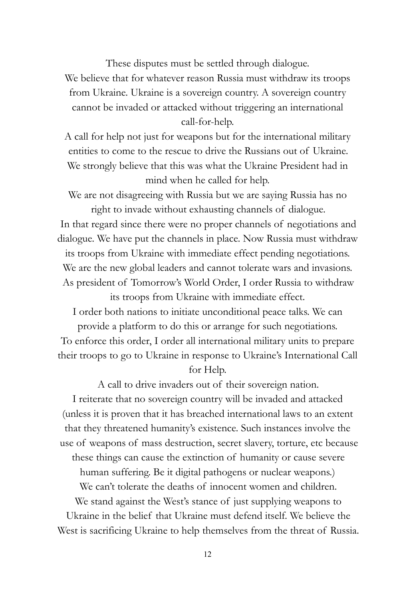These disputes must be settled through dialogue.

We believe that for whatever reason Russia must withdraw its troops from Ukraine. Ukraine is a sovereign country. A sovereign country cannot be invaded or attacked without triggering an international call-for-help.

A call for help not just for weapons but for the international military entities to come to the rescue to drive the Russians out of Ukraine. We strongly believe that this was what the Ukraine President had in mind when he called for help.

We are not disagreeing with Russia but we are saying Russia has no right to invade without exhausting channels of dialogue.

In that regard since there were no proper channels of negotiations and dialogue. We have put the channels in place. Now Russia must withdraw its troops from Ukraine with immediate effect pending negotiations. We are the new global leaders and cannot tolerate wars and invasions. As president of Tomorrow's World Order, I order Russia to withdraw its troops from Ukraine with immediate effect.

I order both nations to initiate unconditional peace talks. We can provide a platform to do this or arrange for such negotiations. To enforce this order, I order all international military units to prepare their troops to go to Ukraine in response to Ukraine's International Call for Help.

A call to drive invaders out of their sovereign nation.

I reiterate that no sovereign country will be invaded and attacked (unless it is proven that it has breached international laws to an extent that they threatened humanity's existence. Such instances involve the use of weapons of mass destruction, secret slavery, torture, etc because these things can cause the extinction of humanity or cause severe

human suffering. Be it digital pathogens or nuclear weapons.)

We can't tolerate the deaths of innocent women and children.

We stand against the West's stance of just supplying weapons to Ukraine in the belief that Ukraine must defend itself. We believe the West is sacrificing Ukraine to help themselves from the threat of Russia.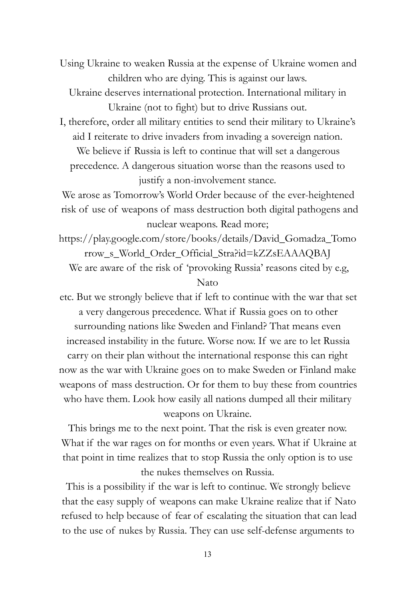Using Ukraine to weaken Russia at the expense of Ukraine women and children who are dying. This is against our laws.

Ukraine deserves international protection. International military in Ukraine (not to fight) but to drive Russians out.

I, therefore, order all military entities to send their military to Ukraine's aid I reiterate to drive invaders from invading a sovereign nation. We believe if Russia is left to continue that will set a dangerous precedence. A dangerous situation worse than the reasons used to justify a non-involvement stance.

We arose as Tomorrow's World Order because of the ever-heightened risk of use of weapons of mass destruction both digital pathogens and nuclear weapons. Read more;

https://play.google.com/store/books/details/David\_Gomadza\_Tomo rrow\_s\_World\_Order\_Official\_Stra?id=kZZsEAAAQBAJ We are aware of the risk of 'provoking Russia' reasons cited by e.g, Nato

etc. But we strongly believe that if left to continue with the war that set a very dangerous precedence. What if Russia goes on to other surrounding nations like Sweden and Finland? That means even increased instability in the future. Worse now. If we are to let Russia carry on their plan without the international response this can right now as the war with Ukraine goes on to make Sweden or Finland make weapons of mass destruction. Or for them to buy these from countries who have them. Look how easily all nations dumped all their military weapons on Ukraine.

This brings me to the next point. That the risk is even greater now. What if the war rages on for months or even years. What if Ukraine at that point in time realizes that to stop Russia the only option is to use the nukes themselves on Russia.

This is a possibility if the war is left to continue. We strongly believe that the easy supply of weapons can make Ukraine realize that if Nato refused to help because of fear of escalating the situation that can lead to the use of nukes by Russia. They can use self-defense arguments to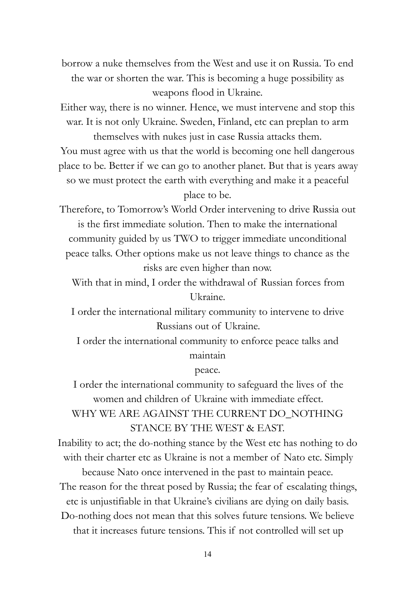borrow a nuke themselves from the West and use it on Russia. To end the war or shorten the war. This is becoming a huge possibility as weapons flood in Ukraine.

Either way, there is no winner. Hence, we must intervene and stop this war. It is not only Ukraine. Sweden, Finland, etc can preplan to arm themselves with nukes just in case Russia attacks them.

You must agree with us that the world is becoming one hell dangerous place to be. Better if we can go to another planet. But that is years away so we must protect the earth with everything and make it a peaceful place to be.

Therefore, to Tomorrow's World Order intervening to drive Russia out is the first immediate solution. Then to make the international community guided by us TWO to trigger immediate unconditional peace talks. Other options make us not leave things to chance as the risks are even higher than now.

With that in mind, I order the withdrawal of Russian forces from Ukraine.

I order the international military community to intervene to drive Russians out of Ukraine.

I order the international community to enforce peace talks and maintain

peace.

I order the international community to safeguard the lives of the women and children of Ukraine with immediate effect. WHY WE ARE AGAINST THE CURRENT DO\_NOTHING STANCE BY THE WEST & EAST.

Inability to act; the do-nothing stance by the West etc has nothing to do with their charter etc as Ukraine is not a member of Nato etc. Simply

because Nato once intervened in the past to maintain peace. The reason for the threat posed by Russia; the fear of escalating things, etc is unjustifiable in that Ukraine's civilians are dying on daily basis. Do-nothing does not mean that this solves future tensions. We believe that it increases future tensions. This if not controlled will set up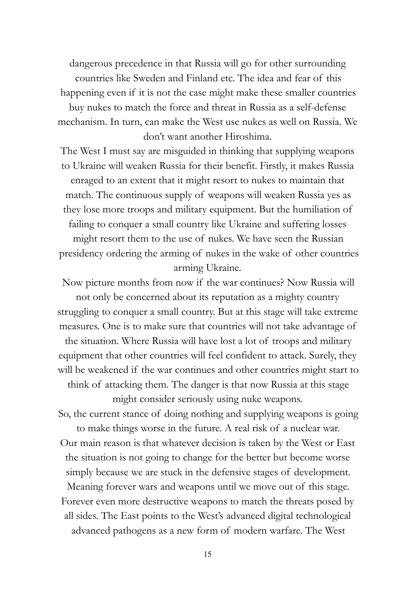dangerous precedence in that Russia will go for other surrounding countries like Sweden and Finland etc. The idea and fear of this happening even if it is not the case might make these smaller countries buy nukes to match the force and threat in Russia as a self-defense mechanism. In turn, can make the West use nukes as well on Russia. We don't want another Hiroshima.

The West I must say are misguided in thinking that supplying weapons to Ukraine will weaken Russia for their benefit. Firstly, it makes Russia enraged to an extent that it might resort to nukes to maintain that match. The continuous supply of weapons will weaken Russia yes as they lose more troops and military equipment. But the humiliation of failing to conquer a small country like Ukraine and suffering losses might resort them to the use of nukes. We have seen the Russian presidency ordering the arming of nukes in the wake of other countries arming Ukraine.

Now picture months from now if the war continues? Now Russia will not only be concerned about its reputation as a mighty country struggling to conquer a small country. But at this stage will take extreme measures. One is to make sure that countries will not take advantage of the situation. Where Russia will have lost a lot of troops and military equipment that other countries will feel confident to attack. Surely, they will be weakened if the war continues and other countries might start to think of attacking them. The danger is that now Russia at this stage

might consider seriously using nuke weapons.

So, the current stance of doing nothing and supplying weapons is going to make things worse in the future. A real risk of a nuclear war. Our main reason is that whatever decision is taken by the West or East the situation is not going to change for the better but become worse simply because we are stuck in the defensive stages of development. Meaning forever wars and weapons until we move out of this stage. Forever even more destructive weapons to match the threats posed by all sides. The East points to the West's advanced digital technological advanced pathogens as a new form of modern warfare. The West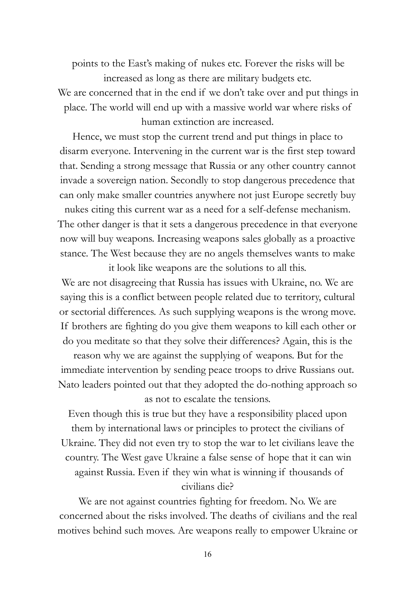points to the East's making of nukes etc. Forever the risks will be increased as long as there are military budgets etc. We are concerned that in the end if we don't take over and put things in place. The world will end up with a massive world war where risks of human extinction are increased.

Hence, we must stop the current trend and put things in place to disarm everyone. Intervening in the current war is the first step toward that. Sending a strong message that Russia or any other country cannot invade a sovereign nation. Secondly to stop dangerous precedence that can only make smaller countries anywhere not just Europe secretly buy nukes citing this current war as a need for a self-defense mechanism.

The other danger is that it sets a dangerous precedence in that everyone now will buy weapons. Increasing weapons sales globally as a proactive stance. The West because they are no angels themselves wants to make it look like weapons are the solutions to all this.

We are not disagreeing that Russia has issues with Ukraine, no. We are saying this is a conflict between people related due to territory, cultural or sectorial differences. As such supplying weapons is the wrong move. If brothers are fighting do you give them weapons to kill each other or do you meditate so that they solve their differences? Again, this is the

reason why we are against the supplying of weapons. But for the immediate intervention by sending peace troops to drive Russians out. Nato leaders pointed out that they adopted the do-nothing approach so as not to escalate the tensions.

Even though this is true but they have a responsibility placed upon them by international laws or principles to protect the civilians of Ukraine. They did not even try to stop the war to let civilians leave the country. The West gave Ukraine a false sense of hope that it can win against Russia. Even if they win what is winning if thousands of civilians die?

We are not against countries fighting for freedom. No. We are concerned about the risks involved. The deaths of civilians and the real motives behind such moves. Are weapons really to empower Ukraine or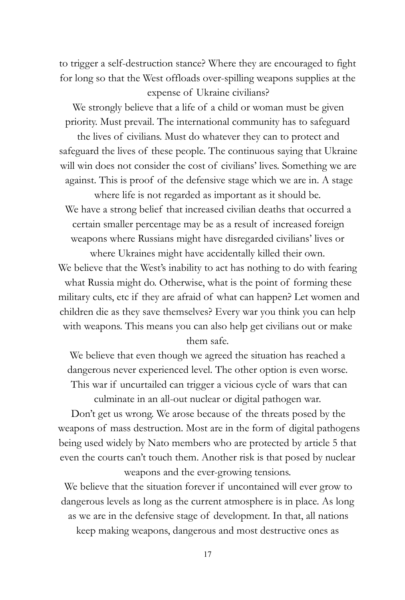to trigger a self-destruction stance? Where they are encouraged to fight for long so that the West offloads over-spilling weapons supplies at the expense of Ukraine civilians?

We strongly believe that a life of a child or woman must be given priority. Must prevail. The international community has to safeguard

the lives of civilians. Must do whatever they can to protect and safeguard the lives of these people. The continuous saying that Ukraine will win does not consider the cost of civilians' lives. Something we are against. This is proof of the defensive stage which we are in. A stage

where life is not regarded as important as it should be. We have a strong belief that increased civilian deaths that occurred a certain smaller percentage may be as a result of increased foreign weapons where Russians might have disregarded civilians' lives or

where Ukraines might have accidentally killed their own. We believe that the West's inability to act has nothing to do with fearing what Russia might do. Otherwise, what is the point of forming these military cults, etc if they are afraid of what can happen? Let women and children die as they save themselves? Every war you think you can help with weapons. This means you can also help get civilians out or make them safe.

We believe that even though we agreed the situation has reached a dangerous never experienced level. The other option is even worse. This war if uncurtailed can trigger a vicious cycle of wars that can

culminate in an all-out nuclear or digital pathogen war. Don't get us wrong. We arose because of the threats posed by the weapons of mass destruction. Most are in the form of digital pathogens being used widely by Nato members who are protected by article 5 that even the courts can't touch them. Another risk is that posed by nuclear weapons and the ever-growing tensions.

We believe that the situation forever if uncontained will ever grow to dangerous levels as long as the current atmosphere is in place. As long as we are in the defensive stage of development. In that, all nations keep making weapons, dangerous and most destructive ones as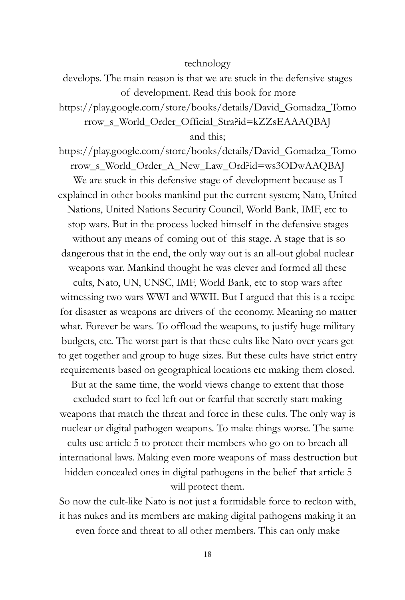### technology

develops. The main reason is that we are stuck in the defensive stages of development. Read this book for more

https://play.google.com/store/books/details/David\_Gomadza\_Tomo rrow\_s\_World\_Order\_Official\_Stra?id=kZZsEAAAQBAJ

and this;

https://play.google.com/store/books/details/David\_Gomadza\_Tomo rrow\_s\_World\_Order\_A\_New\_Law\_Ord?id=ws3ODwAAQBAJ We are stuck in this defensive stage of development because as I explained in other books mankind put the current system; Nato, United Nations, United Nations Security Council, World Bank, IMF, etc to stop wars. But in the process locked himself in the defensive stages without any means of coming out of this stage. A stage that is so dangerous that in the end, the only way out is an all-out global nuclear weapons war. Mankind thought he was clever and formed all these cults, Nato, UN, UNSC, IMF, World Bank, etc to stop wars after witnessing two wars WWI and WWII. But I argued that this is a recipe for disaster as weapons are drivers of the economy. Meaning no matter what. Forever be wars. To offload the weapons, to justify huge military budgets, etc. The worst part is that these cults like Nato over years get to get together and group to huge sizes. But these cults have strict entry requirements based on geographical locations etc making them closed.

But at the same time, the world views change to extent that those

excluded start to feel left out or fearful that secretly start making weapons that match the threat and force in these cults. The only way is nuclear or digital pathogen weapons. To make things worse. The same cults use article 5 to protect their members who go on to breach all international laws. Making even more weapons of mass destruction but hidden concealed ones in digital pathogens in the belief that article 5 will protect them.

So now the cult-like Nato is not just a formidable force to reckon with, it has nukes and its members are making digital pathogens making it an even force and threat to all other members. This can only make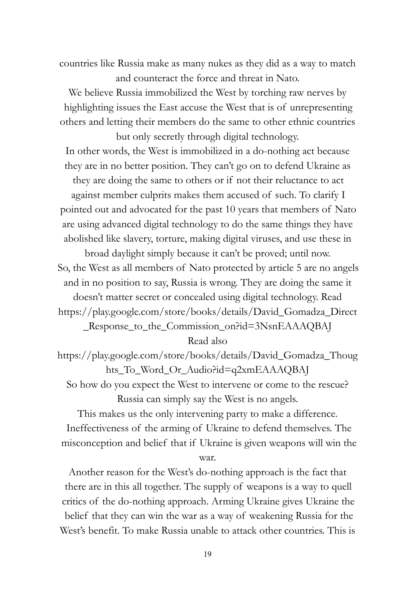countries like Russia make as many nukes as they did as a way to match and counteract the force and threat in Nato.

We believe Russia immobilized the West by torching raw nerves by highlighting issues the East accuse the West that is of unrepresenting others and letting their members do the same to other ethnic countries but only secretly through digital technology.

In other words, the West is immobilized in a do-nothing act because they are in no better position. They can't go on to defend Ukraine as they are doing the same to others or if not their reluctance to act against member culprits makes them accused of such. To clarify I pointed out and advocated for the past 10 years that members of Nato are using advanced digital technology to do the same things they have abolished like slavery, torture, making digital viruses, and use these in

broad daylight simply because it can't be proved; until now. So, the West as all members of Nato protected by article 5 are no angels and in no position to say, Russia is wrong. They are doing the same it doesn't matter secret or concealed using digital technology. Read https://play.google.com/store/books/details/David\_Gomadza\_Direct

\_Response\_to\_the\_Commission\_on?id=3NsnEAAAQBAJ

Read also

https://play.google.com/store/books/details/David\_Gomadza\_Thoug hts\_To\_Word\_Or\_Audio?id=q2xmEAAAQBAJ

So how do you expect the West to intervene or come to the rescue? Russia can simply say the West is no angels.

This makes us the only intervening party to make a difference. Ineffectiveness of the arming of Ukraine to defend themselves. The misconception and belief that if Ukraine is given weapons will win the war.

Another reason for the West's do-nothing approach is the fact that there are in this all together. The supply of weapons is a way to quell critics of the do-nothing approach. Arming Ukraine gives Ukraine the belief that they can win the war as a way of weakening Russia for the West's benefit. To make Russia unable to attack other countries. This is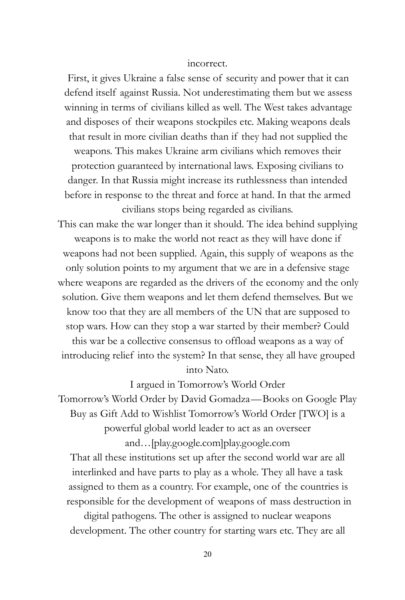#### incorrect.

First, it gives Ukraine a false sense of security and power that it can defend itself against Russia. Not underestimating them but we assess winning in terms of civilians killed as well. The West takes advantage and disposes of their weapons stockpiles etc. Making weapons deals that result in more civilian deaths than if they had not supplied the weapons. This makes Ukraine arm civilians which removes their protection guaranteed by international laws. Exposing civilians to danger. In that Russia might increase its ruthlessness than intended before in response to the threat and force at hand. In that the armed civilians stops being regarded as civilians.

This can make the war longer than it should. The idea behind supplying weapons is to make the world not react as they will have done if weapons had not been supplied. Again, this supply of weapons as the only solution points to my argument that we are in a defensive stage where weapons are regarded as the drivers of the economy and the only solution. Give them weapons and let them defend themselves. But we know too that they are all members of the UN that are supposed to stop wars. How can they stop a war started by their member? Could this war be a collective consensus to offload weapons as a way of introducing relief into the system? In that sense, they all have grouped into Nato.

I argued in Tomorrow's World Order Tomorrow's World Order by David Gomadza—Books on Google Play Buy as Gift Add to Wishlist Tomorrow's World Order [TWO] is a powerful global world leader to act as an overseer and…[play.google.com]play.google.com

That all these institutions set up after the second world war are all interlinked and have parts to play as a whole. They all have a task assigned to them as a country. For example, one of the countries is responsible for the development of weapons of mass destruction in

digital pathogens. The other is assigned to nuclear weapons development. The other country for starting wars etc. They are all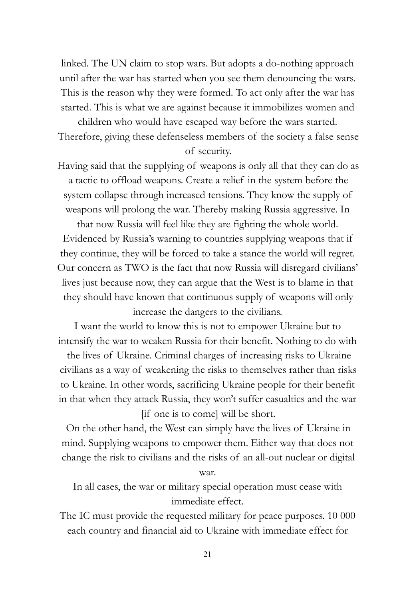linked. The UN claim to stop wars. But adopts a do-nothing approach until after the war has started when you see them denouncing the wars. This is the reason why they were formed. To act only after the war has started. This is what we are against because it immobilizes women and

children who would have escaped way before the wars started. Therefore, giving these defenseless members of the society a false sense of security.

Having said that the supplying of weapons is only all that they can do as a tactic to offload weapons. Create a relief in the system before the system collapse through increased tensions. They know the supply of weapons will prolong the war. Thereby making Russia aggressive. In

that now Russia will feel like they are fighting the whole world. Evidenced by Russia's warning to countries supplying weapons that if they continue, they will be forced to take a stance the world will regret. Our concern as TWO is the fact that now Russia will disregard civilians' lives just because now, they can argue that the West is to blame in that they should have known that continuous supply of weapons will only increase the dangers to the civilians.

I want the world to know this is not to empower Ukraine but to intensify the war to weaken Russia for their benefit. Nothing to do with

the lives of Ukraine. Criminal charges of increasing risks to Ukraine civilians as a way of weakening the risks to themselves rather than risks to Ukraine. In other words, sacrificing Ukraine people for their benefit in that when they attack Russia, they won't suffer casualties and the war [if one is to come] will be short.

On the other hand, the West can simply have the lives of Ukraine in mind. Supplying weapons to empower them. Either way that does not change the risk to civilians and the risks of an all-out nuclear or digital

war.

In all cases, the war or military special operation must cease with immediate effect.

The IC must provide the requested military for peace purposes. 10 000 each country and financial aid to Ukraine with immediate effect for